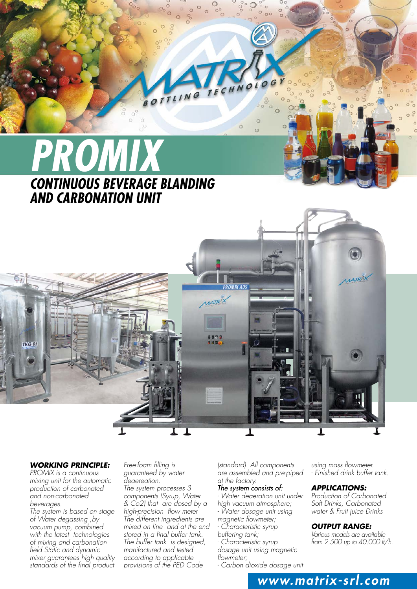

#### *WORKING PRINCIPLE:*

*PROMIX is a continuous mixing unit for the automatic production of carbonated and non-carbonated beverages.*

*The system is based on stage of Water degassing ,by vacuum pump, combined with the latest technologies of mixing and carbonation field.Static and dynamic mixer guarantees high quality standards of the final product*

*Free-foam filling is guaranteed by water deaereation. The system processes 3 components (Syrup, Water & Co2) that are dosed by a high-precision flow meter The different ingredients are mixed on line and at the end stored in a final buffer tank. The buffer tank is designed, manifactured and tested according to applicable provisions of the PED Code* 

*(standard). All components are assembled and pre-piped at the factory.*

# *The system consists of:*

- *Water deaeration unit under*
- *high vacuum atmosphere;*
- *Water dosage unit using*
- *magnetic flowmeter;*
- *Characteristic syrup*
- *buffering tank;*
- *Characteristic syrup dosage unit using magnetic*
- *flowmeter;*

*- Carbon dioxide dosage unit* 

*using mass flowmeter. - Finished drink buffer tank.*

### *APPLICATIONS:*

*Production of Carbonated Soft Drinks, Carbonated water & Fruit juice Drinks*

#### *OUTPUT RANGE:*

*www.matrix-srl.com*

*Various models are available from 2.500 up to 40.000 lt/h.*